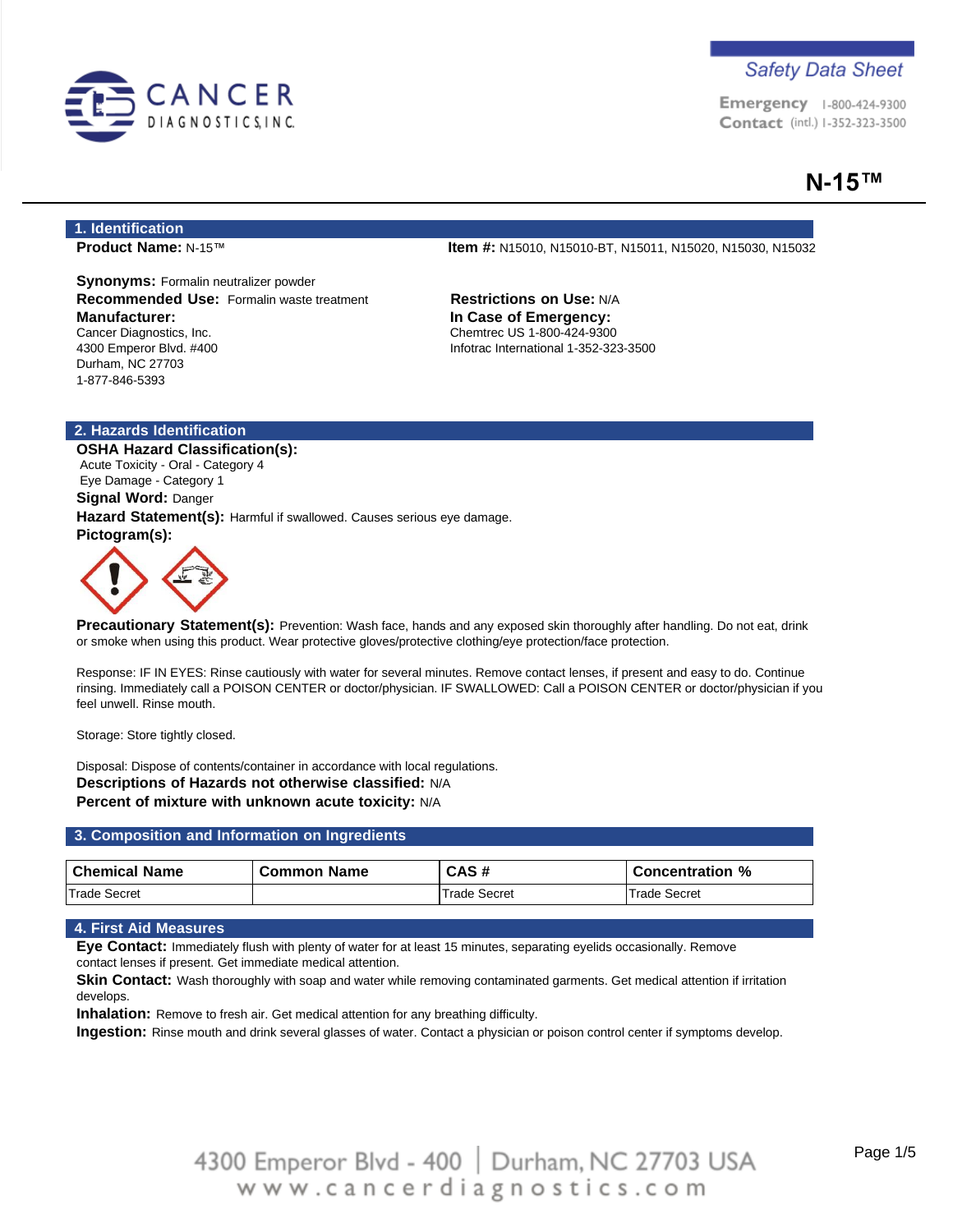

Emergency 1-800-424-9300 Contact (intl.) 1-352-323-3500

# **N-15™**

### **1. Identification**

**Synonyms:** Formalin neutralizer powder **Recommended Use:** Formalin waste treatment **Restrictions on Use:** N/A **Manufacturer:** Cancer Diagnostics, Inc. 4300 Emperor Blvd. #400 Durham, NC 27703 1-877-846-5393

**Product Name:** N-15™ **Item #:** N15010, N15010-BT, N15011, N15020, N15030, N15032

**In Case of Emergency:** Chemtrec US 1-800-424-9300 Infotrac International 1-352-323-3500

### **2. Hazards Identification**

**OSHA Hazard Classification(s):** Acute Toxicity - Oral - Category 4 Eye Damage - Category 1 **Signal Word:** Danger **Hazard Statement(s):** Harmful if swallowed. Causes serious eye damage. **Pictogram(s):**



**Precautionary Statement(s):** Prevention: Wash face, hands and any exposed skin thoroughly after handling. Do not eat, drink or smoke when using this product. Wear protective gloves/protective clothing/eye protection/face protection.

Response: IF IN EYES: Rinse cautiously with water for several minutes. Remove contact lenses, if present and easy to do. Continue rinsing. Immediately call a POISON CENTER or doctor/physician. IF SWALLOWED: Call a POISON CENTER or doctor/physician if you feel unwell. Rinse mouth.

Storage: Store tightly closed.

Disposal: Dispose of contents/container in accordance with local regulations. **Descriptions of Hazards not otherwise classified:** N/A **Percent of mixture with unknown acute toxicity:** N/A

### **3. Composition and Information on Ingredients**

| <b>Chemical Name</b> | <b>Common Name</b> | CAS#         | <b>Concentration %</b> |
|----------------------|--------------------|--------------|------------------------|
| Trade Secret         |                    | Trade Secret | Trade Secret           |

### **4. First Aid Measures**

**Eye Contact:** Immediately flush with plenty of water for at least 15 minutes, separating eyelids occasionally. Remove contact lenses if present. Get immediate medical attention.

**Skin Contact:** Wash thoroughly with soap and water while removing contaminated garments. Get medical attention if irritation develops.

**Inhalation:** Remove to fresh air. Get medical attention for any breathing difficulty.

**Ingestion:** Rinse mouth and drink several glasses of water. Contact a physician or poison control center if symptoms develop.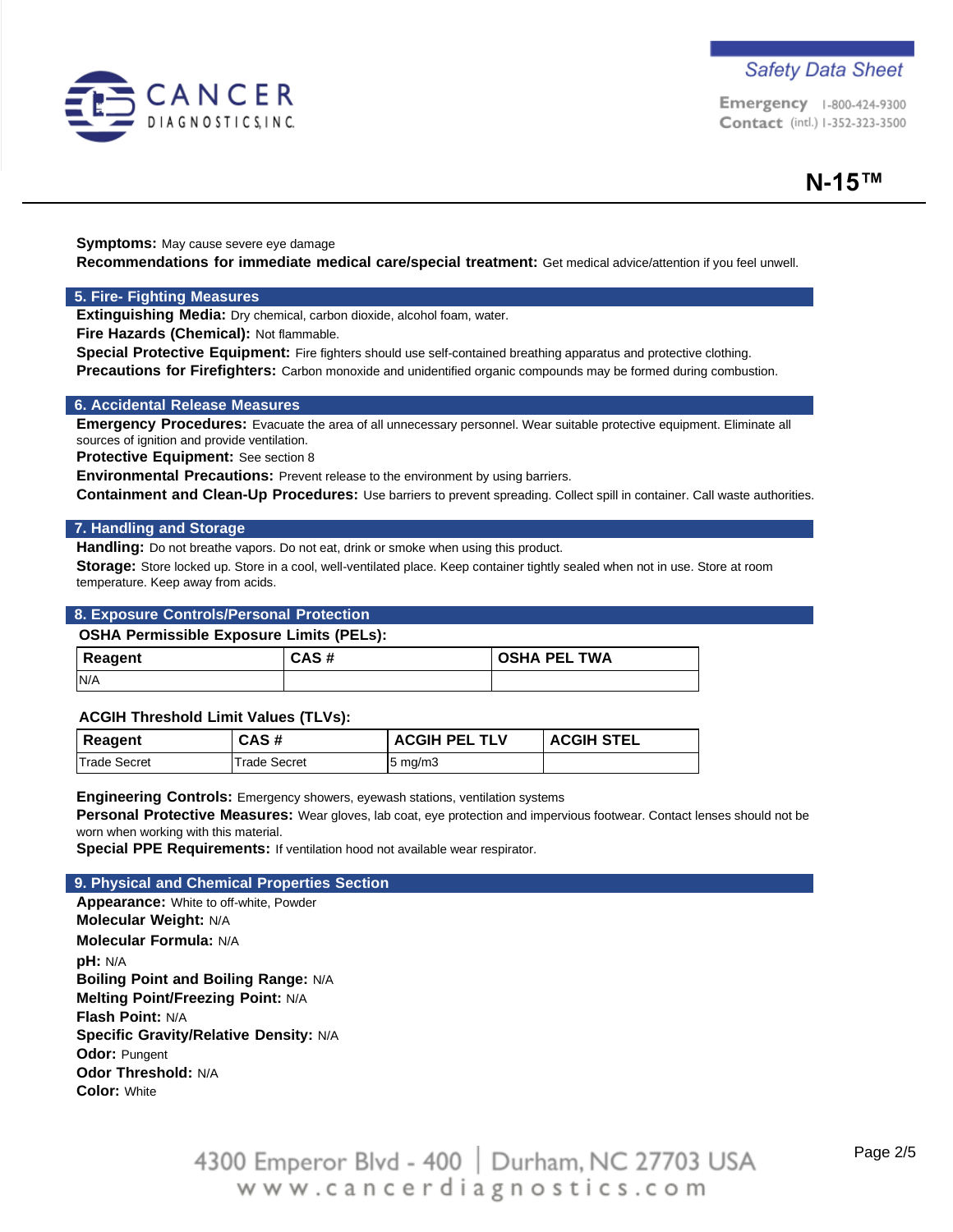

Emergency 1-800-424-9300 Contact (intl.) 1-352-323-3500

**Symptoms:** May cause severe eye damage **Recommendations for immediate medical care/special treatment:** Get medical advice/attention if you feel unwell.

### **5. Fire- Fighting Measures**

**Extinguishing Media:** Dry chemical, carbon dioxide, alcohol foam, water.

**Fire Hazards (Chemical):** Not flammable.

**Special Protective Equipment:** Fire fighters should use self-contained breathing apparatus and protective clothing. **Precautions for Firefighters:** Carbon monoxide and unidentified organic compounds may be formed during combustion.

### **6. Accidental Release Measures**

**Emergency Procedures:** Evacuate the area of all unnecessary personnel. Wear suitable protective equipment. Eliminate all sources of ignition and provide ventilation.

**Protective Equipment:** See section 8

**Environmental Precautions:** Prevent release to the environment by using barriers.

**Containment and Clean-Up Procedures:** Use barriers to prevent spreading. Collect spill in container. Call waste authorities.

### **7. Handling and Storage**

Handling: Do not breathe vapors. Do not eat, drink or smoke when using this product.

**Storage:** Store locked up. Store in a cool, well-ventilated place. Keep container tightly sealed when not in use. Store at room temperature. Keep away from acids.

### **8. Exposure Controls/Personal Protection**

#### **OSHA Permissible Exposure Limits (PELs):**

| <b>Reagent</b> | CAS# | <b>OSHA PEL TWA</b> |
|----------------|------|---------------------|
| N/A            |      |                     |

### **ACGIH Threshold Limit Values (TLVs):**

| Reagent             | CAS#         | <b>ACGIH PEL TLV</b> | <b>ACGIH STEL</b> |
|---------------------|--------------|----------------------|-------------------|
| <b>Trade Secret</b> | Trade Secret | $5 \text{ mg/m}$     |                   |

**Engineering Controls:** Emergency showers, eyewash stations, ventilation systems

**Personal Protective Measures:** Wear gloves, lab coat, eye protection and impervious footwear. Contact lenses should not be worn when working with this material.

**Special PPE Requirements:** If ventilation hood not available wear respirator.

#### **9. Physical and Chemical Properties Section**

**Appearance:** White to off-white, Powder **Molecular Weight:** N/A **Molecular Formula:** N/A **pH:** N/A **Boiling Point and Boiling Range:** N/A **Melting Point/Freezing Point:** N/A **Flash Point:** N/A **Specific Gravity/Relative Density:** N/A **Odor:** Pungent **Odor Threshold:** N/A **Color:** White

> 4300 Emperor Blvd - 400 | Durham, NC 27703 USA www.cancerdiagnostics.com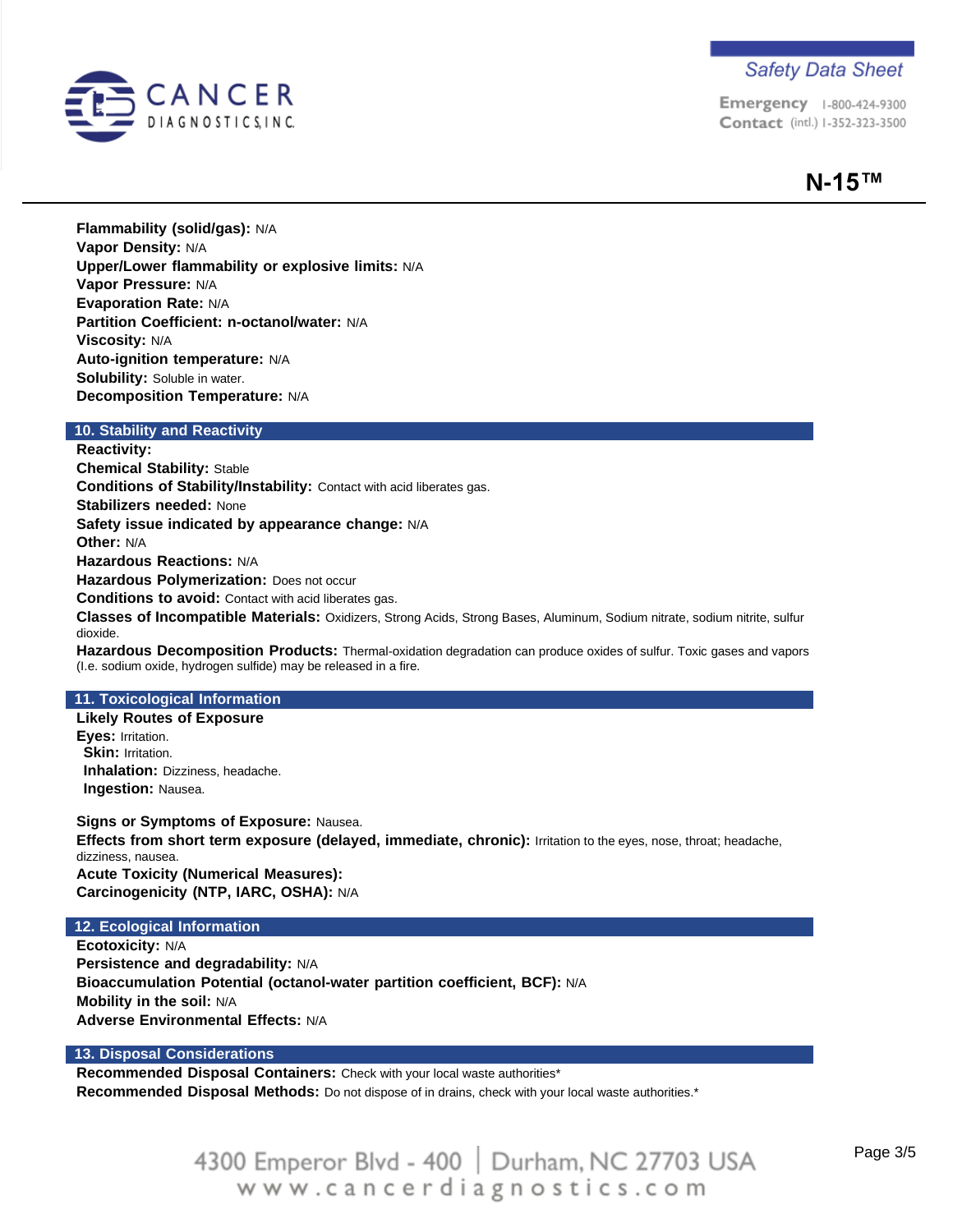

Emergency 1-800-424-9300 Contact (intl.) 1-352-323-3500

# **N-15™**

**Flammability (solid/gas):** N/A **Vapor Density:** N/A **Upper/Lower flammability or explosive limits:** N/A **Vapor Pressure:** N/A **Evaporation Rate:** N/A **Partition Coefficient: n-octanol/water:** N/A **Viscosity:** N/A **Auto-ignition temperature:** N/A **Solubility:** Soluble in water. **Decomposition Temperature:** N/A

### **10. Stability and Reactivity**

**Reactivity: Chemical Stability:** Stable **Conditions of Stability/Instability:** Contact with acid liberates gas. **Stabilizers needed:** None **Safety issue indicated by appearance change:** N/A **Other:** N/A **Hazardous Reactions:** N/A **Hazardous Polymerization:** Does not occur **Conditions to avoid:** Contact with acid liberates gas. **Classes of Incompatible Materials:** Oxidizers, Strong Acids, Strong Bases, Aluminum, Sodium nitrate, sodium nitrite, sulfur dioxide. **Hazardous Decomposition Products:** Thermal-oxidation degradation can produce oxides of sulfur. Toxic gases and vapors (I.e. sodium oxide, hydrogen sulfide) may be released in a fire.

### **11. Toxicological Information**

**Likely Routes of Exposure Eyes:** Irritation. **Skin: Irritation. Inhalation:** Dizziness, headache. **Ingestion:** Nausea.

**Signs or Symptoms of Exposure:** Nausea. **Effects from short term exposure (delayed, immediate, chronic):** Irritation to the eyes, nose, throat; headache, dizziness, nausea. **Acute Toxicity (Numerical Measures): Carcinogenicity (NTP, IARC, OSHA):** N/A

### **12. Ecological Information**

**Ecotoxicity:** N/A **Persistence and degradability:** N/A **Bioaccumulation Potential (octanol-water partition coefficient, BCF):** N/A **Mobility in the soil:** N/A **Adverse Environmental Effects:** N/A

### **13. Disposal Considerations**

**Recommended Disposal Containers:** Check with your local waste authorities\*

**Recommended Disposal Methods:** Do not dispose of in drains, check with your local waste authorities.\*

# 4300 Emperor Blvd - 400 | Durham, NC 27703 USA www.cancerdiagnostics.com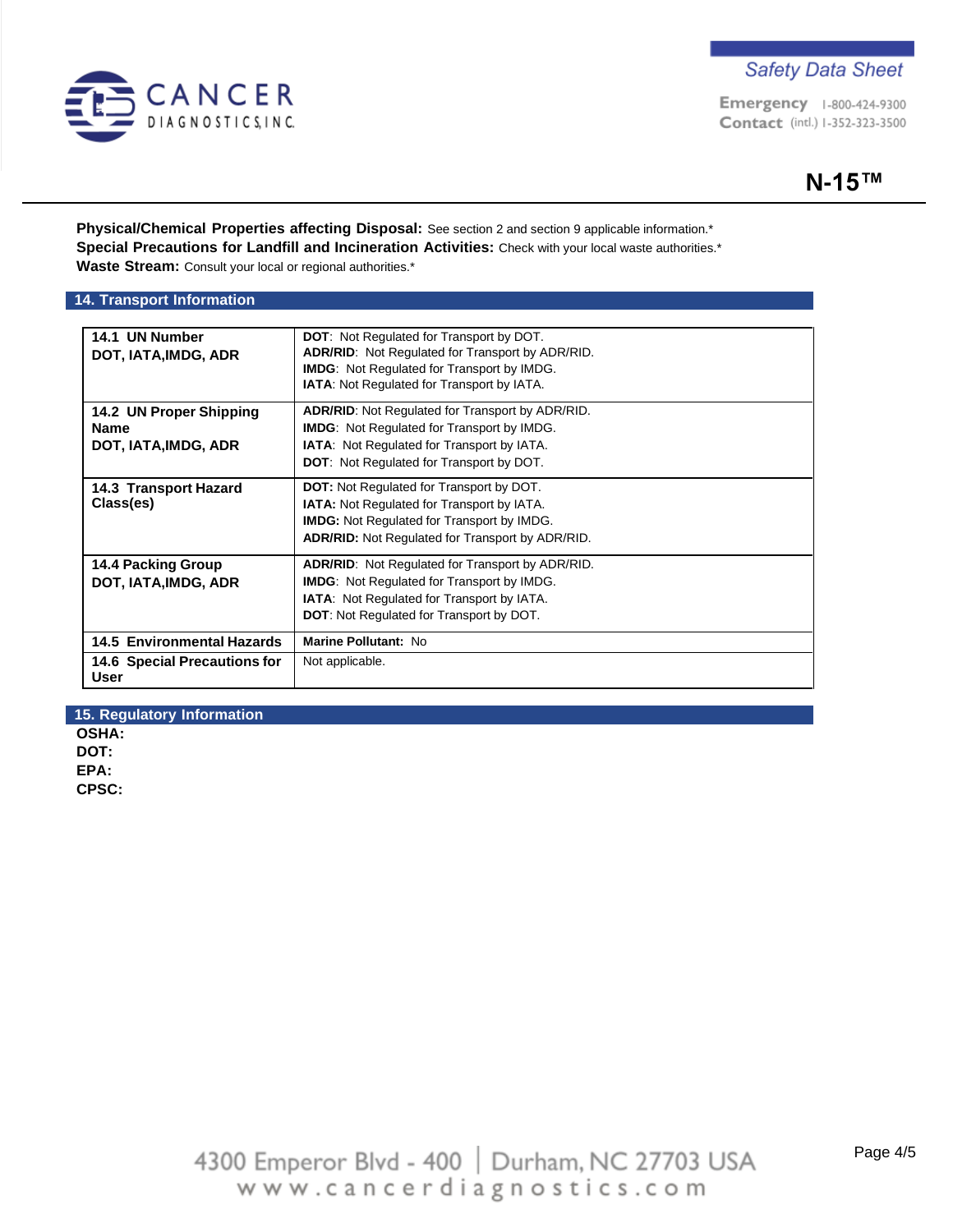

Emergency 1-800-424-9300 Contact (intl.) 1-352-323-3500

**Physical/Chemical Properties affecting Disposal:** See section 2 and section 9 applicable information.\* **Special Precautions for Landfill and Incineration Activities:** Check with your local waste authorities.\* **Waste Stream:** Consult your local or regional authorities.\*

### **14. Transport Information**

| 14.1 UN Number<br>DOT, IATA, IMDG, ADR                  | <b>DOT:</b> Not Regulated for Transport by DOT.<br><b>ADR/RID:</b> Not Regulated for Transport by ADR/RID.<br><b>IMDG:</b> Not Regulated for Transport by IMDG.<br><b>IATA:</b> Not Regulated for Transport by IATA. |
|---------------------------------------------------------|----------------------------------------------------------------------------------------------------------------------------------------------------------------------------------------------------------------------|
| 14.2 UN Proper Shipping<br>Name<br>DOT, IATA, IMDG, ADR | <b>ADR/RID:</b> Not Regulated for Transport by ADR/RID.<br><b>IMDG:</b> Not Regulated for Transport by IMDG.<br><b>IATA:</b> Not Regulated for Transport by IATA.<br><b>DOT:</b> Not Regulated for Transport by DOT. |
| 14.3 Transport Hazard<br>Class(es)                      | <b>DOT:</b> Not Regulated for Transport by DOT.<br><b>IATA:</b> Not Regulated for Transport by IATA.<br><b>IMDG:</b> Not Regulated for Transport by IMDG.<br><b>ADR/RID:</b> Not Regulated for Transport by ADR/RID. |
| 14.4 Packing Group<br>DOT, IATA, IMDG, ADR              | <b>ADR/RID:</b> Not Regulated for Transport by ADR/RID.<br><b>IMDG:</b> Not Regulated for Transport by IMDG.<br><b>IATA:</b> Not Regulated for Transport by IATA.<br><b>DOT:</b> Not Regulated for Transport by DOT. |
| <b>14.5 Environmental Hazards</b>                       | <b>Marine Pollutant: No</b>                                                                                                                                                                                          |
| 14.6 Special Precautions for<br>User                    | Not applicable.                                                                                                                                                                                                      |

**15. Regulatory Information**

**OSHA: DOT: EPA: CPSC:**